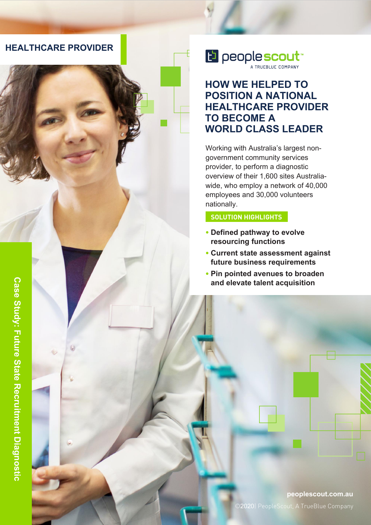

E people scout

### **HOW WE HELPED TO POSITION A NATIONAL HEALTHCARE PROVIDER TO BECOME A WORLD CLASS LEADER**

Working with Australia's largest nongovernment community services provider, to perform a diagnostic overview of their 1,600 sites Australiawide, who employ a network of 40,000 employees and 30,000 volunteers nationally.

#### **SOLUTION HIGHLIGHTS**

- **• Defined pathway to evolve resourcing functions**
- **• Current state assessment against future business requirements**
- **• Pin pointed avenues to broaden and elevate talent acquisition**

**peoplescout.com.au** ©2020| PeopleScout, A TrueBlue Company